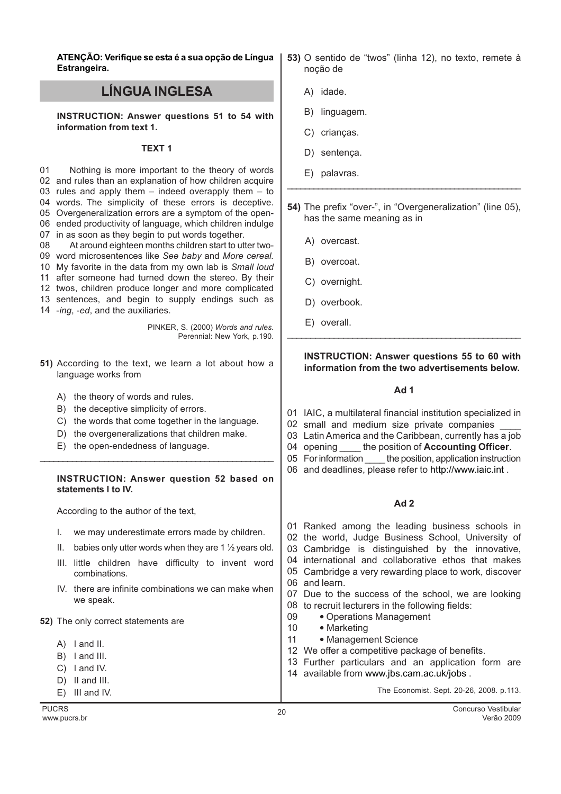ATENÇÃO: Verifique se esta é a sua opção de Língua Estrangeira.

# LÍNGUA INGLESA

INSTRUCTION: Answer questions 51 to 54 with information from text 1.

#### TEXT 1

01 and rules than an explanation of how children acquire rules and apply them – indeed overapply them – to words. The simplicity of these errors is deceptive. Overgeneralization errors are a symptom of the open- ended productivity of language, which children indulge in as soon as they begin to put words together. Nothing is more important to the theory of words

08 09 word microsentences like See baby and More cereal. 10 My favorite in the data from my own lab is Small loud 11 after someone had turned down the stereo. By their 12 twos, children produce longer and more complicated 13 sentences, and begin to supply endings such as At around eighteen months children start to utter two-

14 -ing, -ed, and the auxiliaries.

PINKER, S. (2000) Words and rules. Perennial: New York, p.190.

- 51) According to the text, we learn a lot about how a language works from
	- A) the theory of words and rules.
	- B) the deceptive simplicity of errors.
	- C) the words that come together in the language.

\_\_\_\_\_\_\_\_\_\_\_\_\_\_\_\_\_\_\_\_\_\_\_\_\_\_\_\_\_\_\_\_\_\_\_\_\_\_\_\_\_\_\_\_\_\_\_\_\_\_\_

- D) the overgeneralizations that children make.
- E) the open-endedness of language.

## INSTRUCTION: Answer question 52 based on statements I to IV.

According to the author of the text,

- I. we may underestimate errors made by children.
- II. babies only utter words when they are 1  $\frac{1}{2}$  years old.
- III. little children have difficulty to invent word combinations.
- IV. there are infinite combinations we can make when we speak.

### 52) The only correct statements are

- A) I and II.
- B) I and III.
- C) I and IV.
- D) II and III.
- E) III and IV.
- 
- 53) O sentido de "twos" (linha 12), no texto, remete à noção de
	- A) idade.
	- B) linguagem.
	- C) crianças.
	- D) sentença.
	- E) palavras.
- 54) The prefix "over-", in "Overgeneralization" (line 05), has the same meaning as in

\_\_\_\_\_\_\_\_\_\_\_\_\_\_\_\_\_\_\_\_\_\_\_\_\_\_\_\_\_\_\_\_\_\_\_\_\_\_\_\_\_\_\_\_\_\_\_\_\_\_\_\_\_

- A) overcast.
- B) overcoat.
- C) overnight.
- D) overbook.
- E) overall.

## INSTRUCTION: Answer questions 55 to 60 with information from the two advertisements below.

## Ad 1

\_\_\_\_\_\_\_\_\_\_\_\_\_\_\_\_\_\_\_\_\_\_\_\_\_\_\_\_\_\_\_\_\_\_\_\_\_\_\_\_\_\_\_\_\_\_\_\_\_\_

- 01 IAIC, a multilateral financial institution specialized in
- 02 small and medium size private companies \_\_\_\_
- 03 Latin America and the Caribbean, currently has a job
- 04 opening the position of **Accounting Officer**.
- 05 For information \_\_\_\_ the position, application instruction
- 06 and deadlines, please refer to http://www.iaic.int .

# Ad 2

- 01 Ranked among the leading business schools in
- 02 the world, Judge Business School, University of
- 03 Cambridge is distinguished by the innovative,
- 04 international and collaborative ethos that makes
- 05 Cambridge a very rewarding place to work, discover
- 06 and learn.
- 07 Due to the success of the school, we are looking 08 to recruit lecturers in the following fields:
- 09 • Operations Management
- 10 • Marketing
- 11 • Management Science
- 12 We offer a competitive package of benefits.
- 13 Further particulars and an application form are
- 14 available from www.jbs.cam.ac.uk/jobs .

The Economist. Sept. 20-26, 2008. p.113.